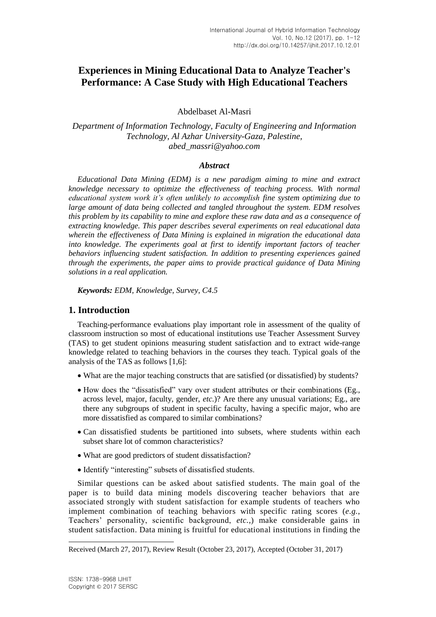# **Experiences in Mining Educational Data to Analyze Teacher's Performance: A Case Study with High Educational Teachers**

Abdelbaset Al-Masri

*Department of Information Technology, Faculty of Engineering and Information Technology, Al Azhar University-Gaza, Palestine, abed\_massri@yahoo.com*

### *Abstract*

*Educational Data Mining (EDM) is a new paradigm aiming to mine and extract knowledge necessary to optimize the effectiveness of teaching process. With normal educational system work it's often unlikely to accomplish fine system optimizing due to large amount of data being collected and tangled throughout the system. EDM resolves this problem by its capability to mine and explore these raw data and as a consequence of extracting knowledge. This paper describes several experiments on real educational data wherein the effectiveness of Data Mining is explained in migration the educational data into knowledge. The experiments goal at first to identify important factors of teacher behaviors influencing student satisfaction. In addition to presenting experiences gained through the experiments, the paper aims to provide practical guidance of Data Mining solutions in a real application.*

*Keywords: EDM, Knowledge, Survey, C4.5*

### **1. Introduction**

Teaching-performance evaluations play important role in assessment of the quality of classroom instruction so most of educational institutions use Teacher Assessment Survey (TAS) to get student opinions measuring student satisfaction and to extract wide-range knowledge related to teaching behaviors in the courses they teach. Typical goals of the analysis of the TAS as follows [1,6]:

- What are the major teaching constructs that are satisfied (or dissatisfied) by students?
- How does the "dissatisfied" vary over student attributes or their combinations (Eg., across level, major, faculty, gender, *etc.*)? Are there any unusual variations; Eg., are there any subgroups of student in specific faculty, having a specific major, who are more dissatisfied as compared to similar combinations?
- Can dissatisfied students be partitioned into subsets, where students within each subset share lot of common characteristics?
- What are good predictors of student dissatisfaction?
- Identify "interesting" subsets of dissatisfied students.

Similar questions can be asked about satisfied students. The main goal of the paper is to build data mining models discovering teacher behaviors that are associated strongly with student satisfaction for example students of teachers who implement combination of teaching behaviors with specific rating scores (*e.g.*, Teachers' personality, scientific background, *etc.*,) make considerable gains in student satisfaction. Data mining is fruitful for educational institutions in finding the

l

Received (March 27, 2017), Review Result (October 23, 2017), Accepted (October 31, 2017)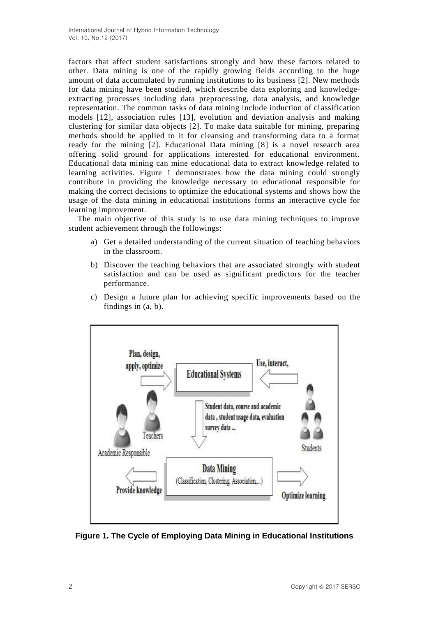factors that affect student satisfactions strongly and how these factors related to other. Data mining is one of the rapidly growing fields according to the huge amount of data accumulated by running institutions to its business [2]. New methods for data mining have been studied, which describe data exploring and knowledgeextracting processes including data preprocessing, data analysis, and knowledge representation. The common tasks of data mining include induction of classification models [12], association rules [13], evolution and deviation analysis and making clustering for similar data objects [2]. To make data suitable for mining, preparing methods should be applied to it for cleansing and transforming data to a format ready for the mining [2]. Educational Data mining [8] is a novel research area offering solid ground for applications interested for educational environment. Educational data mining can mine educational data to extract knowledge related to learning activities. Figure 1 demonstrates how the data mining could strongly contribute in providing the knowledge necessary to educational responsible for making the correct decisions to optimize the educational systems and shows how the usage of the data mining in educational institutions forms an interactive cycle for learning improvement.

The main objective of this study is to use data mining techniques to improve student achievement through the followings:

- a) Get a detailed understanding of the current situation of teaching behaviors in the classroom.
- b) Discover the teaching behaviors that are associated strongly with student satisfaction and can be used as significant predictors for the teacher performance.
- c) Design a future plan for achieving specific improvements based on the findings in (a, b).



**Figure 1. The Cycle of Employing Data Mining in Educational Institutions**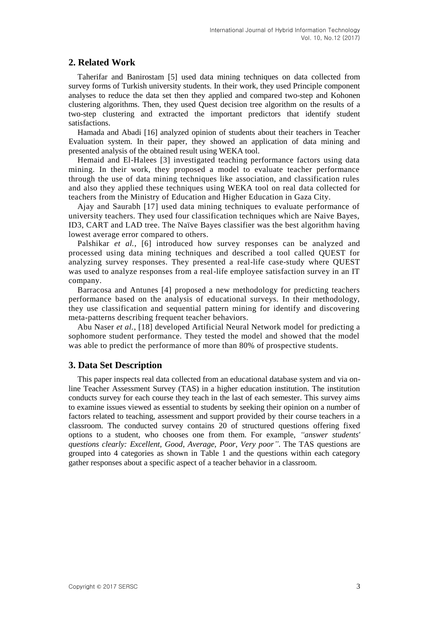## **2. Related Work**

Taherifar and Banirostam [5] used data mining techniques on data collected from survey forms of Turkish university students. In their work, they used Principle component analyses to reduce the data set then they applied and compared two-step and Kohonen clustering algorithms. Then, they used Quest decision tree algorithm on the results of a two-step clustering and extracted the important predictors that identify student satisfactions.

Hamada and Abadi [16] analyzed opinion of students about their teachers in Teacher Evaluation system. In their paper, they showed an application of data mining and presented analysis of the obtained result using WEKA tool.

Hemaid and El-Halees [3] investigated teaching performance factors using data mining. In their work, they proposed a model to evaluate teacher performance through the use of data mining techniques like association, and classification rules and also they applied these techniques using WEKA tool on real data collected for teachers from the Ministry of Education and Higher Education in Gaza City.

Ajay and Saurabh [17] used data mining techniques to evaluate performance of university teachers. They used four classification techniques which are Naive Bayes, ID3, CART and LAD tree. The Naïve Bayes classifier was the best algorithm having lowest average error compared to others.

Palshikar *et al.*, [6] introduced how survey responses can be analyzed and processed using data mining techniques and described a tool called QUEST for analyzing survey responses. They presented a real-life case-study where QUEST was used to analyze responses from a real-life employee satisfaction survey in an IT company.

Barracosa and Antunes [4] proposed a new methodology for predicting teachers performance based on the analysis of educational surveys. In their methodology, they use classification and sequential pattern mining for identify and discovering meta-patterns describing frequent teacher behaviors.

Abu Naser *et al.*, [18] developed Artificial Neural Network model for predicting a sophomore student performance. They tested the model and showed that the model was able to predict the performance of more than 80% of prospective students.

## **3. Data Set Description**

This paper inspects real data collected from an educational database system and via online Teacher Assessment Survey (TAS) in a higher education institution. The institution conducts survey for each course they teach in the last of each semester. This survey aims to examine issues viewed as essential to students by seeking their opinion on a number of factors related to teaching, assessment and support provided by their course teachers in a classroom. The conducted survey contains 20 of structured questions offering fixed options to a student, who chooses one from them. For example, *"answer students' questions clearly: Excellent, Good, Average, Poor, Very poor"*. The TAS questions are grouped into 4 categories as shown in Table 1 and the questions within each category gather responses about a specific aspect of a teacher behavior in a classroom.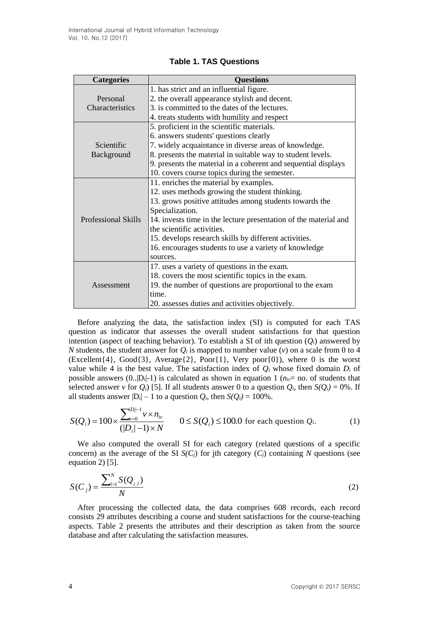| <b>Categories</b>          | <b>Ouestions</b>                                                 |  |  |  |
|----------------------------|------------------------------------------------------------------|--|--|--|
|                            | 1. has strict and an influential figure.                         |  |  |  |
| Personal                   | 2. the overall appearance stylish and decent.                    |  |  |  |
| Characteristics            | 3. is committed to the dates of the lectures.                    |  |  |  |
|                            | 4. treats students with humility and respect                     |  |  |  |
|                            | 5. proficient in the scientific materials.                       |  |  |  |
|                            | 6. answers students' questions clearly                           |  |  |  |
| Scientific                 | 7. widely acquaintance in diverse areas of knowledge.            |  |  |  |
| Background                 | 8. presents the material in suitable way to student levels.      |  |  |  |
|                            | 9. presents the material in a coherent and sequential displays   |  |  |  |
|                            | 10. covers course topics during the semester.                    |  |  |  |
|                            | 11. enriches the material by examples.                           |  |  |  |
|                            | 12. uses methods growing the student thinking.                   |  |  |  |
|                            | 13. grows positive attitudes among students towards the          |  |  |  |
|                            | Specialization.                                                  |  |  |  |
| <b>Professional Skills</b> | 14. invests time in the lecture presentation of the material and |  |  |  |
|                            | the scientific activities.                                       |  |  |  |
|                            | 15. develops research skills by different activities.            |  |  |  |
|                            | 16. encourages students to use a variety of knowledge            |  |  |  |
|                            | sources.                                                         |  |  |  |
|                            | 17. uses a variety of questions in the exam.                     |  |  |  |
|                            | 18. covers the most scientific topics in the exam.               |  |  |  |
| Assessment                 | 19. the number of questions are proportional to the exam         |  |  |  |
|                            | time.                                                            |  |  |  |
|                            | 20. assesses duties and activities objectively.                  |  |  |  |

### **Table 1. TAS Questions**

Before analyzing the data, the satisfaction index (SI) is computed for each TAS question as indicator that assesses the overall student satisfactions for that question intention (aspect of teaching behavior). To establish a SI of ith question  $(O_i)$  answered by *N* students, the student answer for  $Q_i$  is mapped to number value (*v*) on a scale from 0 to 4 (Excellent{4}, Good{3}, Average{2}, Poor{1}, Very poor{0}), where 0 is the worst value while 4 is the best value. The satisfaction index of  $Q_i$  whose fixed domain  $D_i$  of possible answers  $(0, |D_i| - 1)$  is calculated as shown in equation 1  $(n_i = n$  o. of students that selected answer *v* for  $Q_i$ ) [5]. If all students answer 0 to a question  $Q_i$ , then  $S(Q_i) = 0$ %. If all students answer  $|D_i| - 1$  to a question  $Q_i$ , then  $S(Q_i) = 100\%$ .

$$
S(Q_i) = 100 \times \frac{\sum_{v=0}^{|D_i|-1} v \times n_v}{(|D_i|-1) \times N} \qquad 0 \le S(Q_i) \le 100.0 \text{ for each question } Q_i.
$$
 (1)

We also computed the overall SI for each category (related questions of a specific concern) as the average of the SI  $S(C_i)$  for jth category  $(C_i)$  containing N questions (see equation 2) [5].

$$
S(C_j) = \frac{\sum_{i=1}^{N} S(Q_{i,j})}{N}
$$
 (2)

After processing the collected data, the data comprises 608 records, each record consists 29 attributes describing a course and student satisfactions for the course-teaching aspects. Table 2 presents the attributes and their description as taken from the source database and after calculating the satisfaction measures.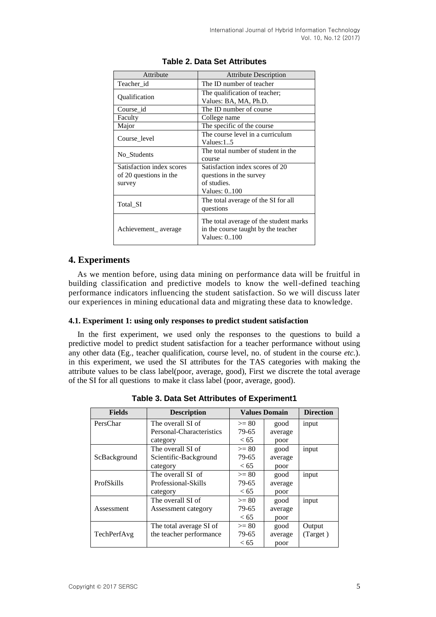| Attribute                                                     | <b>Attribute Description</b>                                                                  |  |  |
|---------------------------------------------------------------|-----------------------------------------------------------------------------------------------|--|--|
| Teacher id                                                    | The ID number of teacher                                                                      |  |  |
| Qualification                                                 | The qualification of teacher;<br>Values: BA, MA, Ph.D.                                        |  |  |
| Course id                                                     | The ID number of course                                                                       |  |  |
| Faculty                                                       | College name                                                                                  |  |  |
| Major                                                         | The specific of the course                                                                    |  |  |
| Course level                                                  | The course level in a curriculum<br>Values: $15$                                              |  |  |
| No Students                                                   | The total number of student in the<br>course                                                  |  |  |
| Satisfaction index scores<br>of 20 questions in the<br>survey | Satisfaction index scores of 20<br>questions in the survey<br>of studies.<br>Values: 0100     |  |  |
| Total SI                                                      | The total average of the SI for all<br>questions                                              |  |  |
| Achievement_average                                           | The total average of the student marks<br>in the course taught by the teacher<br>Values: 0100 |  |  |

### **Table 2. Data Set Attributes**

## **4. Experiments**

As we mention before, using data mining on performance data will be fruitful in building classification and predictive models to know the well-defined teaching performance indicators influencing the student satisfaction. So we will discuss later our experiences in mining educational data and migrating these data to knowledge.

### **4.1. Experiment 1: using only responses to predict student satisfaction**

In the first experiment, we used only the responses to the questions to build a predictive model to predict student satisfaction for a teacher performance without using any other data (Eg., teacher qualification, course level, no. of student in the course *etc.*). in this experiment, we used the SI attributes for the TAS categories with making the attribute values to be class label(poor, average, good), First we discrete the total average of the SI for all questions to make it class label (poor, average, good).

| <b>Fields</b> | <b>Description</b>       | <b>Values Domain</b> |         | <b>Direction</b> |
|---------------|--------------------------|----------------------|---------|------------------|
| PersChar      | The overall SI of        | $>= 80$              | good    | input            |
|               | Personal-Characteristics | 79-65                | average |                  |
|               | category                 | <65                  | poor    |                  |
|               | The overall SI of        | $>= 80$              | good    | input            |
| ScBackground  | Scientific-Background    | 79-65                | average |                  |
|               | category                 | < 65                 | poor    |                  |
|               | The overall SI of        | $>= 80$              | good    | input            |
| ProfSkills    | Professional-Skills      | 79-65                | average |                  |
|               | category                 | < 65                 | poor    |                  |
|               | The overall SI of        | $>= 80$              | good    | input            |
| Assessment    | Assessment category      | 79-65                | average |                  |
|               |                          | <65                  | poor    |                  |
|               | The total average SI of  | $>= 80$              | good    | Output           |
| TechPerfAvg   | the teacher performance  | 79-65                | average | (Target)         |
|               |                          | <65                  | poor    |                  |

**Table 3. Data Set Attributes of Experiment1**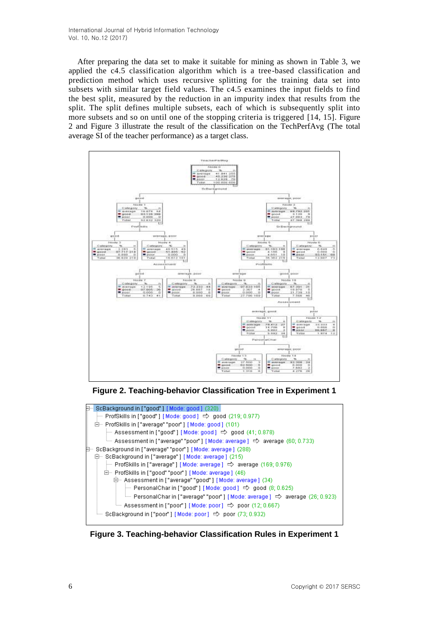After preparing the data set to make it suitable for mining as shown in Table 3, we applied the c4.5 classification algorithm which is a tree-based classification and prediction method which uses recursive splitting for the training data set into subsets with similar target field values. The c4.5 examines the input fields to find the best split, measured by the reduction in an impurity index that results from the split. The split defines multiple subsets, each of which is subsequently split into more subsets and so on until one of the stopping criteria is triggered [14, 15]. Figure 2 and Figure 3 illustrate the result of the classification on the TechPerfAvg (The total average SI of the teacher performance) as a target class.



**Figure 2. Teaching-behavior Classification Tree in Experiment 1**



**Figure 3. Teaching-behavior Classification Rules in Experiment 1**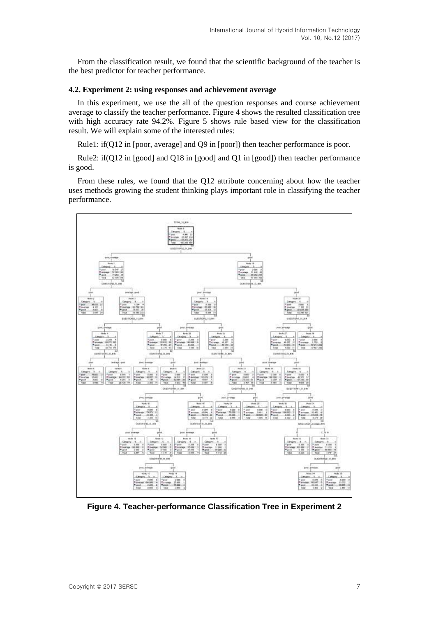From the classification result, we found that the scientific background of the teacher is the best predictor for teacher performance.

### **4.2. Experiment 2: using responses and achievement average**

In this experiment, we use the all of the question responses and course achievement average to classify the teacher performance. Figure 4 shows the resulted classification tree with high accuracy rate 94.2%. Figure 5 shows rule based view for the classification result. We will explain some of the interested rules:

Rule1: if(Q12 in [poor, average] and Q9 in [poor]) then teacher performance is poor.

Rule2: if(Q12 in [good] and Q18 in [good] and Q1 in [good]) then teacher performance is good.

From these rules, we found that the Q12 attribute concerning about how the teacher uses methods growing the student thinking plays important role in classifying the teacher performance.



**Figure 4. Teacher-performance Classification Tree in Experiment 2**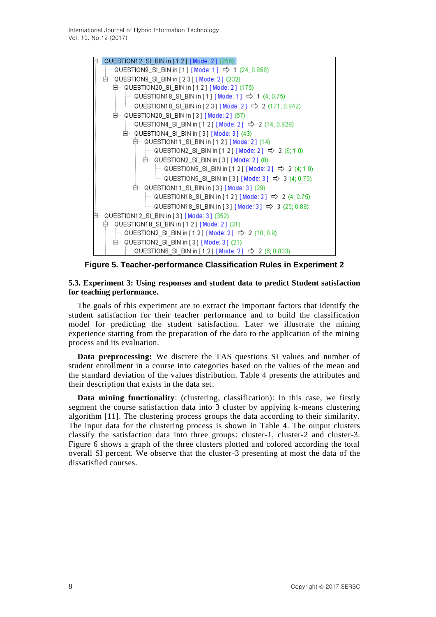International Journal of Hybrid Information Technology Vol. 10, No.12 (2017)



**Figure 5. Teacher-performance Classification Rules in Experiment 2**

### **5.3. Experiment 3: Using responses and student data to predict Student satisfaction for teaching performance.**

The goals of this experiment are to extract the important factors that identify the student satisfaction for their teacher performance and to build the classification model for predicting the student satisfaction. Later we illustrate the mining experience starting from the preparation of the data to the application of the mining process and its evaluation.

**Data preprocessing:** We discrete the TAS questions SI values and number of student enrollment in a course into categories based on the values of the mean and the standard deviation of the values distribution. Table 4 presents the attributes and their description that exists in the data set.

**Data mining functionality**: (clustering, classification): In this case, we firstly segment the course satisfaction data into 3 cluster by applying k-means clustering algorithm [11]. The clustering process groups the data according to their similarity. The input data for the clustering process is shown in Table 4. The output clusters classify the satisfaction data into three groups: cluster-1, cluster-2 and cluster-3. Figure 6 shows a graph of the three clusters plotted and colored according the total overall SI percent. We observe that the cluster-3 presenting at most the data of the dissatisfied courses.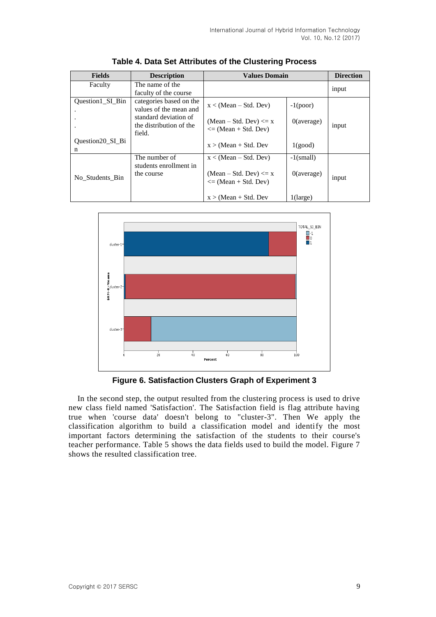| <b>Fields</b>                | <b>Description</b>                                         | <b>Values Domain</b>                                                             | <b>Direction</b>              |       |
|------------------------------|------------------------------------------------------------|----------------------------------------------------------------------------------|-------------------------------|-------|
| Faculty                      | The name of the<br>faculty of the course                   |                                                                                  |                               | input |
| Question1_SI_Bin             | categories based on the<br>values of the mean and          | $x < (Mean - Std. Dev)$                                                          | $-1(poor)$                    |       |
|                              | standard deviation of<br>the distribution of the<br>field. | $(Mean - Std. Dev) \le x$<br>$\leq$ (Mean + Std. Dev)                            | $0$ (average)                 | input |
| <b>Ouestion20 SI Bi</b><br>n |                                                            | $x > (Mean + Std. Dev)$                                                          | 1(good)                       |       |
| No Students Bin              | The number of<br>students enrollment in<br>the course      | $x < (Mean - Std. Dev)$<br>$(Mean - Std. Dev) \le x$<br>$\leq$ (Mean + Std. Dev) | $-1$ (small)<br>$0$ (average) | input |
|                              |                                                            | $x > (Mean + Std. Dev)$                                                          | $1$ (large)                   |       |

**Table 4. Data Set Attributes of the Clustering Process**



**Figure 6. Satisfaction Clusters Graph of Experiment 3**

In the second step, the output resulted from the clustering process is used to drive new class field named 'Satisfaction'. The Satisfaction field is flag attribute having true when 'course data' doesn't belong to "cluster-3". Then We apply the classification algorithm to build a classification model and identify the most important factors determining the satisfaction of the students to their course's teacher performance. Table 5 shows the data fields used to build the model. Figure 7 shows the resulted classification tree.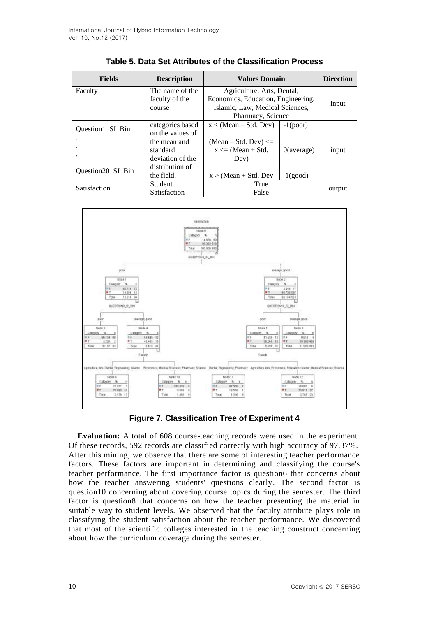| <b>Fields</b>     | <b>Description</b> | <b>Values Domain</b>            | <b>Direction</b>                   |        |
|-------------------|--------------------|---------------------------------|------------------------------------|--------|
| Faculty           | The name of the    | Agriculture, Arts, Dental,      |                                    |        |
|                   | faculty of the     |                                 | Economics, Education, Engineering, |        |
|                   | course             | Islamic, Law, Medical Sciences, |                                    | input  |
|                   |                    | Pharmacy, Science               |                                    |        |
|                   | categories based   | $x < (Mean - Std. Dev)$         | $-1(poor)$                         |        |
| Question1_SI_Bin  | on the values of   |                                 |                                    |        |
|                   | the mean and       | $(Mean - Std. Dev) \leq$        |                                    |        |
|                   | standard           | $x \leq (Mean + Std)$ .         | $0$ (average)                      | input  |
|                   | deviation of the   | Dev)                            |                                    |        |
|                   | distribution of    |                                 |                                    |        |
| Question20_SI_Bin | the field.         | $x > (Mean + Std. Dev)$         | 1(good)                            |        |
| Satisfaction      | <b>Student</b>     | True                            |                                    | output |
|                   | Satisfaction       | False                           |                                    |        |

| Table 5. Data Set Attributes of the Classification Process |  |  |  |
|------------------------------------------------------------|--|--|--|
|------------------------------------------------------------|--|--|--|



**Figure 7. Classification Tree of Experiment 4**

**Evaluation:** A total of 608 course-teaching records were used in the experiment. Of these records, 592 records are classified correctly with high accuracy of 97.37%. After this mining, we observe that there are some of interesting teacher performance factors. These factors are important in determining and classifying the course's teacher performance. The first importance factor is question6 that concerns about how the teacher answering students' questions clearly. The second factor is question10 concerning about covering course topics during the semester. The third factor is question8 that concerns on how the teacher presenting the material in suitable way to student levels. We observed that the faculty attribute plays role in classifying the student satisfaction about the teacher performance. We discovered that most of the scientific colleges interested in the teaching construct concerning about how the curriculum coverage during the semester.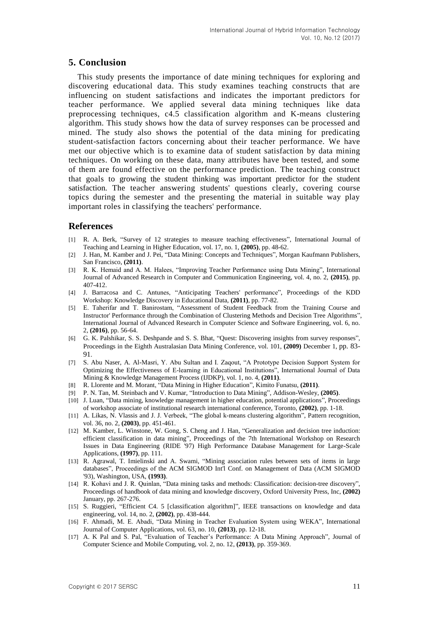## **5. Conclusion**

This study presents the importance of date mining techniques for exploring and discovering educational data. This study examines teaching constructs that are influencing on student satisfactions and indicates the important predictors for teacher performance. We applied several data mining techniques like data preprocessing techniques, c4.5 classification algorithm and K-means clustering algorithm. This study shows how the data of survey responses can be processed and mined. The study also shows the potential of the data mining for predicating student-satisfaction factors concerning about their teacher performance. We have met our objective which is to examine data of student satisfaction by data mining techniques. On working on these data, many attributes have been tested, and some of them are found effective on the performance prediction. The teaching construct that goals to growing the student thinking was important predictor for the student satisfaction. The teacher answering students' questions clearly, covering course topics during the semester and the presenting the material in suitable way play important roles in classifying the teachers' performance.

## **References**

- [1] R. A. Berk, "Survey of 12 strategies to measure teaching effectiveness", International Journal of Teaching and Learning in Higher Education, vol. 17, no. 1, **(2005)**, pp. 48-62.
- [2] J. Han, M. Kamber and J. Pei, "Data Mining: Concepts and Techniques", Morgan Kaufmann Publishers, San Francisco, **(2011)**.
- [3] R. K. Hemaid and A. M. Halees, "Improving Teacher Performance using Data Mining", International Journal of Advanced Research in Computer and Communication Engineering, vol. 4, no. 2, **(2015)**, pp. 407-412.
- [4] J. Barracosa and C. Antunes, "Anticipating Teachers' performance", Proceedings of the KDD Workshop: Knowledge Discovery in Educational Data, **(2011)**, pp. 77-82.
- [5] E. Taherifar and T. Banirostam, "Assessment of Student Feedback from the Training Course and Instructor' Performance through the Combination of Clustering Methods and Decision Tree Algorithms", International Journal of Advanced Research in Computer Science and Software Engineering, vol. 6, no. 2, **(2016)**, pp. 56-64.
- [6] G. K. Palshikar, S. S. Deshpande and S. S. Bhat, "Quest: Discovering insights from survey responses", Proceedings in the Eighth Australasian Data Mining Conference, vol. 101, **(2009)** December 1, pp. 83- 91.
- [7] S. Abu Naser, A. Al-Masri, Y. Abu Sultan and I. Zaqout, "A Prototype Decision Support System for Optimizing the Effectiveness of E-learning in Educational Institutions", International Journal of Data Mining & Knowledge Management Process (IJDKP), vol. 1, no. 4, **(2011)**.
- [8] R. Llorente and M. Morant, "Data Mining in Higher Education", Kimito Funatsu, **(2011)**.
- [9] P. N. Tan, M. Steinbach and V. Kumar, "Introduction to Data Mining", Addison-Wesley, **(2005)**.
- [10] J. Luan, "Data mining, knowledge management in higher education, potential applications", Proceedings of workshop associate of institutional research international conference, Toronto, **(2002)**, pp. 1-18.
- [11] A. Likas, N. Vlassis and J. J. Verbeek, "The global k-means clustering algorithm", Pattern recognition, vol. 36, no. 2, **(2003)**, pp. 451-461.
- [12] M. Kamber, L. Winstone, W. Gong, S. Cheng and J. Han, "Generalization and decision tree induction: efficient classification in data mining", Proceedings of the 7th International Workshop on Research Issues in Data Engineering (RIDE '97) High Performance Database Management for Large-Scale Applications, **(1997)**, pp. 111.
- [13] R. Agrawal, T. Imielinski and A. Swami, "Mining association rules between sets of items in large databases", Proceedings of the ACM SIGMOD Int'l Conf. on Management of Data (ACM SIGMOD '93), Washington, USA, **(1993)**.
- [14] R. Kohavi and J. R. Quinlan, "Data mining tasks and methods: Classification: decision-tree discovery", Proceedings of handbook of data mining and knowledge discovery, Oxford University Press, Inc, **(2002)** January, pp. 267-276.
- [15] S. Ruggieri, "Efficient C4. 5 [classification algorithm]", IEEE transactions on knowledge and data engineering, vol. 14, no. 2, **(2002)**, pp. 438-444.
- [16] F. Ahmadi, M. E. Abadi, "Data Mining in Teacher Evaluation System using WEKA", International Journal of Computer Applications, vol. 63, no. 10, **(2013)**, pp. 12-18.
- [17] A. K Pal and S. Pal, "Evaluation of Teacher's Performance: A Data Mining Approach", Journal of Computer Science and Mobile Computing, vol. 2, no. 12, **(2013)**, pp. 359-369.